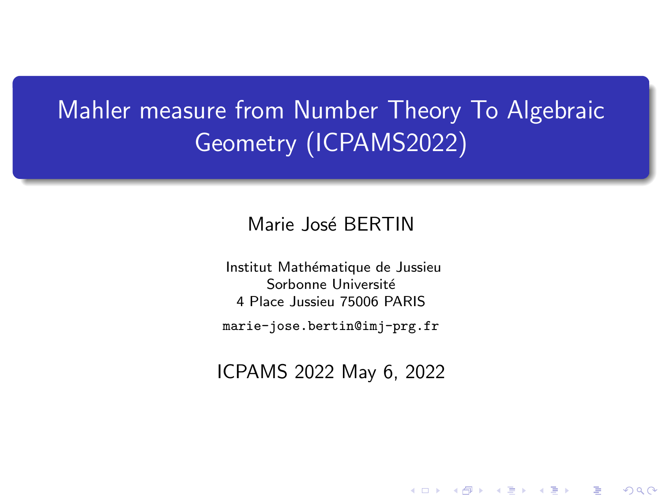# <span id="page-0-0"></span>Mahler measure from Number Theory To Algebraic Geometry (ICPAMS2022)

## Marie José BERTIN

Institut Mathématique de Jussieu Sorbonne Université 4 Place Jussieu 75006 PARIS

marie-jose.bertin@imj-prg.fr

ICPAMS 2022 May 6, 2022

K ロ K K 御 K K W B K W B K W B B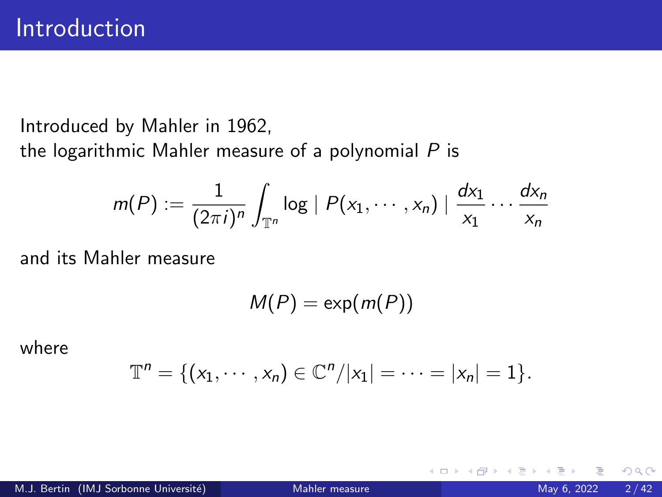Introduced by Mahler in 1962,

the logarithmic Mahler measure of a polynomial  $P$  is

$$
m(P) := \frac{1}{(2\pi i)^n} \int_{\mathbb{T}^n} \log |P(x_1,\dots,x_n)| \frac{dx_1}{x_1} \dots \frac{dx_n}{x_n}
$$

and its Mahler measure

 $M(P) = \exp(m(P))$ 

where

$$
\mathbb{T}^n = \{ (x_1, \cdots, x_n) \in \mathbb{C}^n / |x_1| = \cdots = |x_n| = 1 \}.
$$

4 **D F**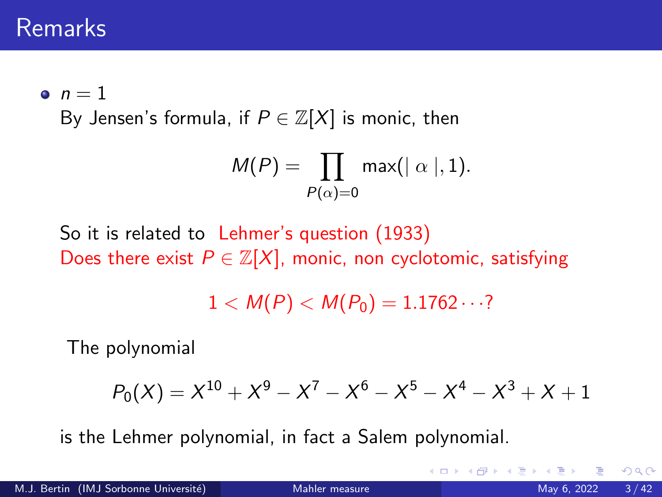## Remarks

 $n = 1$ 

By Jensen's formula, if  $P \in \mathbb{Z}[X]$  is monic, then

$$
M(P) = \prod_{P(\alpha)=0} \max(|\alpha|, 1).
$$

So it is related to Lehmer's question (1933) Does there exist  $P \in \mathbb{Z}[X]$ , monic, non cyclotomic, satisfying

 $1 < M(P) < M(P_0) = 1.1762 \cdots$ ?

The polynomial

$$
P_0(X) = X^{10} + X^9 - X^7 - X^6 - X^5 - X^4 - X^3 + X + 1
$$

is the Lehmer polynomial, in fact a Salem polynomial.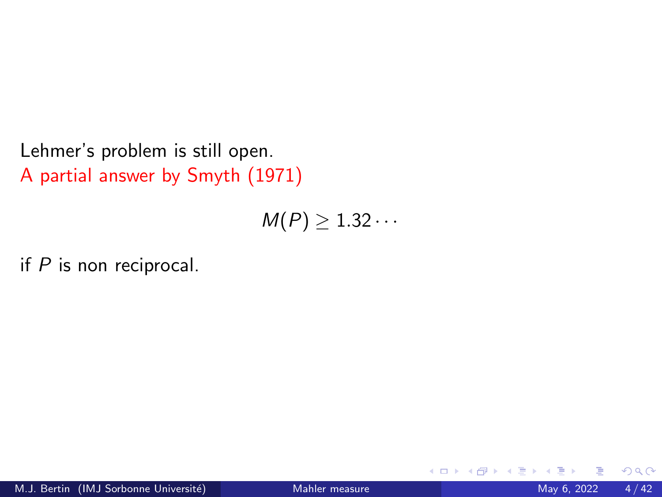Lehmer's problem is still open. A partial answer by Smyth (1971)

 $M(P) \geq 1.32 \cdots$ 

if  $P$  is non reciprocal.

4 **D F**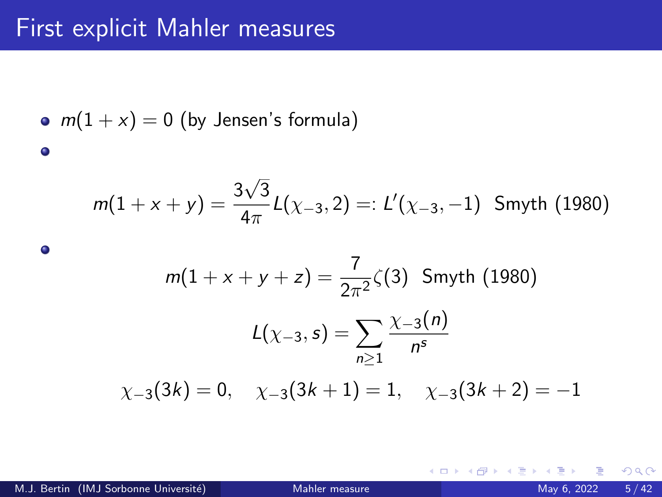\n- $$
m(1+x) = 0
$$
 (by Jensen's formula)
\n

$$
m(1+x+y)=\frac{3\sqrt{3}}{4\pi}L(\chi_{-3},2)=:L'(\chi_{-3},-1) \text{ Smyth (1980)}
$$

$$
m(1 + x + y + z) = \frac{7}{2\pi^2} \zeta(3) \text{ Smyth (1980)}
$$

$$
L(\chi_{-3}, s) = \sum_{n \ge 1} \frac{\chi_{-3}(n)}{n^s}
$$

$$
\chi_{-3}(3k) = 0, \quad \chi_{-3}(3k+1) = 1, \quad \chi_{-3}(3k+2) = -1
$$

 $\bullet$ 

**K ロ ▶ K 何 ▶** 

14 B  $\rightarrow$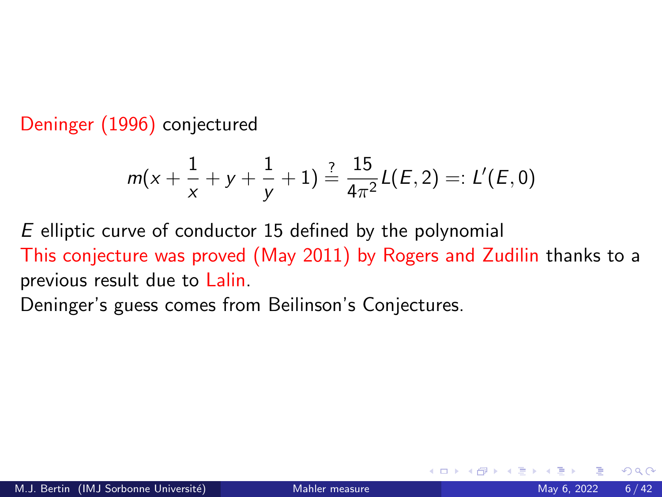Deninger (1996) conjectured

$$
m(x+\frac{1}{x}+y+\frac{1}{y}+1)\stackrel{?}{=}\frac{15}{4\pi^2}L(E,2)=:L'(E,0)
$$

E elliptic curve of conductor 15 defined by the polynomial This conjecture was proved (May 2011) by Rogers and Zudilin thanks to a previous result due to Lalin.

Deninger's guess comes from Beilinson's Conjectures.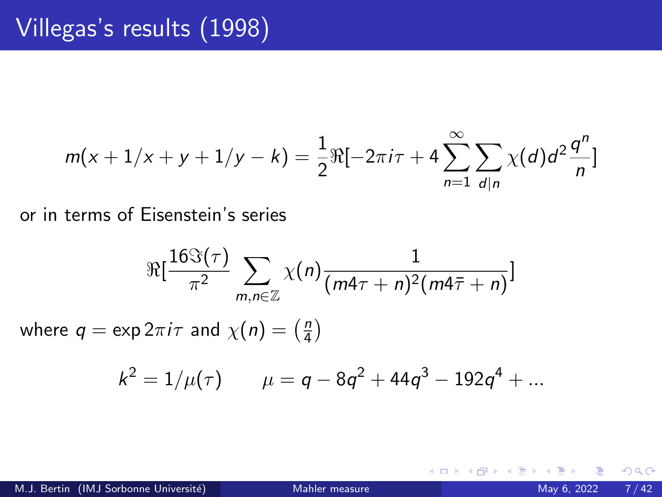$$
m(x+1/x+y+1/y-k) = \frac{1}{2}\Re[-2\pi i\tau + 4\sum_{n=1}^{\infty}\sum_{d|n}\chi(d)d^{2}\frac{q^{n}}{n}]
$$

or in terms of Eisenstein's series

$$
\Re[\frac{16\Im(\tau)}{\pi^2} \sum_{m,n\in\mathbb{Z}} \chi(n) \frac{1}{(m4\tau+n)^2(m4\bar{\tau}+n)}]
$$
  
where  $q = \exp 2\pi i \tau$  and  $\chi(n) = \left(\frac{n}{4}\right)$ 

 $k^2 = 1/\mu(\tau)$   $\mu = q - 8q^2 + 44q^3 - 192q^4 + ...$ 

メロト メ倒 トメ ミトメ 毛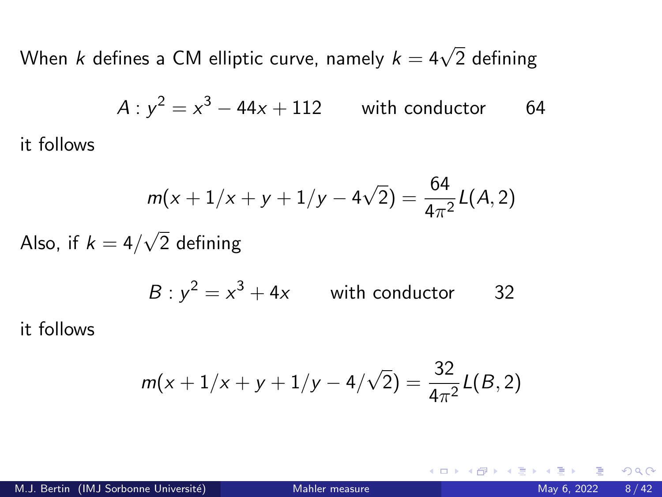When  $k$  defines a CM elliptic curve, namely  $k=4\sqrt{2}$  defining

$$
A: y^2 = x^3 - 44x + 112
$$
 with conductor 64

$$
m(x + 1/x + y + 1/y - 4\sqrt{2}) = \frac{64}{4\pi^2}L(A, 2)
$$

Also, if  $k=4/3$ 2 defining

$$
B: y^2 = x^3 + 4x \qquad \text{with conductor} \qquad 32
$$

it follows

it follows

$$
m(x+1/x+y+1/y-4/\sqrt{2})=\frac{32}{4\pi^2}L(B,2)
$$

4 **D F**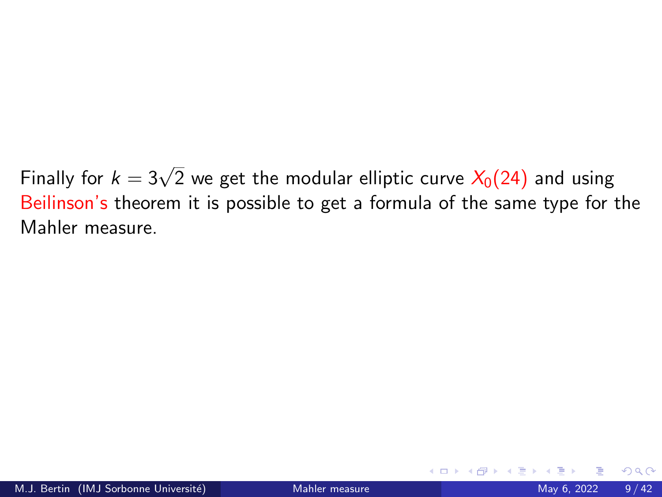Finally for  $k=3\sqrt{2}$  we get the modular elliptic curve  $\overline{X_0(24)}$  and using Beilinson's theorem it is possible to get a formula of the same type for the Mahler measure.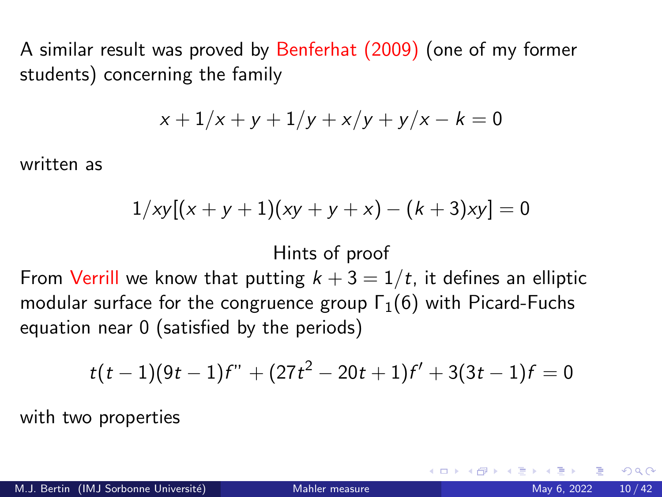A similar result was proved by Benferhat (2009) (one of my former students) concerning the family

$$
x + 1/x + y + 1/y + x/y + y/x - k = 0
$$

written as

$$
1/xy[(x+y+1)(xy+y+x)-(k+3)xy]=0
$$

### Hints of proof

From Verrill we know that putting  $k + 3 = 1/t$ , it defines an elliptic modular surface for the congruence group  $\Gamma_1(6)$  with Picard-Fuchs equation near 0 (satisfied by the periods)

$$
t(t-1)(9t-1)f'' + (27t^2 - 20t + 1)f' + 3(3t - 1)f = 0
$$

with two properties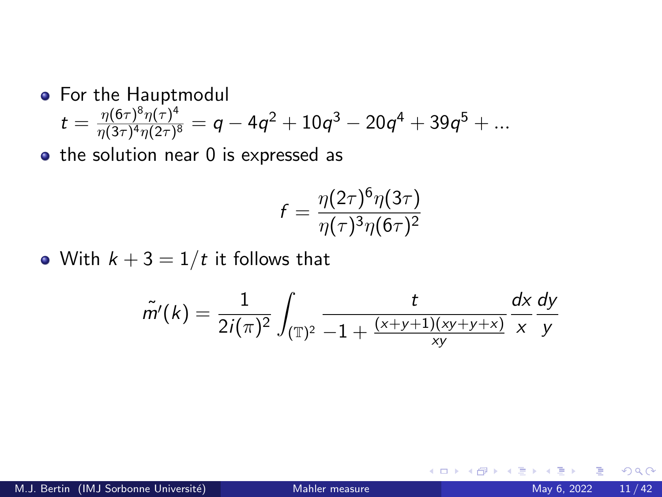## **•** For the Hauptmodul

$$
t = \frac{\eta(6\tau)^8 \eta(\tau)^4}{\eta(3\tau)^4 \eta(2\tau)^8} = q - 4q^2 + 10q^3 - 20q^4 + 39q^5 + \dots
$$

 $\bullet$  the solution near 0 is expressed as

$$
f = \frac{\eta(2\tau)^6 \eta(3\tau)}{\eta(\tau)^3 \eta(6\tau)^2}
$$

• With  $k + 3 = 1/t$  it follows that

$$
\tilde{m}'(k) = \frac{1}{2i(\pi)^2} \int_{(\mathbb{T})^2} \frac{t}{-1 + \frac{(x+y+1)(xy+y+x)}{xy}} \frac{dx}{x} \frac{dy}{y}
$$

イロト

 $QQ$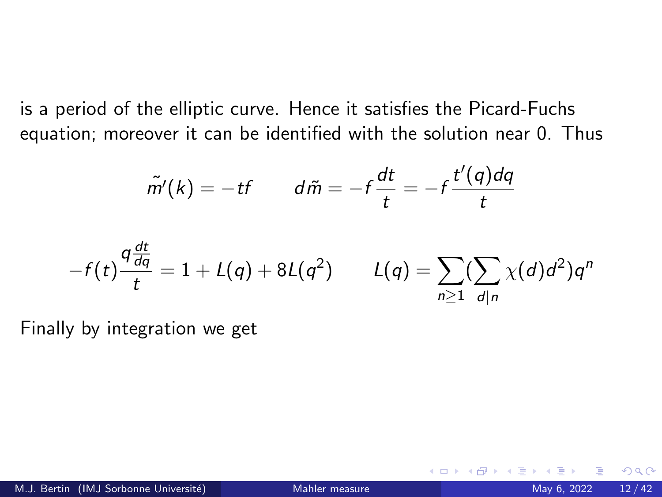is a period of the elliptic curve. Hence it satisfies the Picard-Fuchs equation; moreover it can be identified with the solution near 0. Thus

$$
\tilde{m'}(k) = -tf \qquad d\tilde{m} = -f\frac{dt}{t} = -f\frac{t'(q)dq}{t}
$$

$$
-f(t)\frac{q\frac{dt}{dq}}{t}=1+L(q)+8L(q^2) \qquad L(q)=\sum_{n\geq 1}(\sum_{d|n}\chi(d)d^2)q^n
$$

Finally by integration we get

**∢ □ ▶ ⊣ 倒 ▶**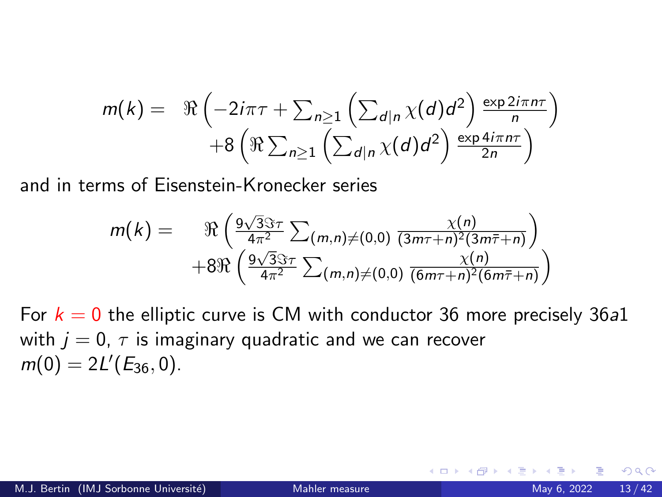$$
m(k) = \Re \left(-2i\pi\tau + \sum_{n\geq 1} \left(\sum_{d|n} \chi(d)d^2\right) \frac{\exp 2i\pi n\tau}{n}\right) + 8\left(\Re \sum_{n\geq 1} \left(\sum_{d|n} \chi(d)d^2\right) \frac{\exp 4i\pi n\tau}{2n}\right)
$$

and in terms of Eisenstein-Kronecker series

$$
m(k) = \mathfrak{R}\left(\frac{9\sqrt{3}\Im\tau}{4\pi^2}\sum_{(m,n)\neq(0,0)}\frac{\chi(n)}{(3m\tau+n)^2(3m\overline{\tau}+n)}\right) + 8\mathfrak{R}\left(\frac{9\sqrt{3}\Im\tau}{4\pi^2}\sum_{(m,n)\neq(0,0)}\frac{\chi(n)}{(6m\tau+n)^2(6m\overline{\tau}+n)}\right)
$$

For  $k = 0$  the elliptic curve is CM with conductor 36 more precisely 36a1 with  $j = 0$ ,  $\tau$  is imaginary quadratic and we can recover  $m(0) = 2L'(E_{36}, 0).$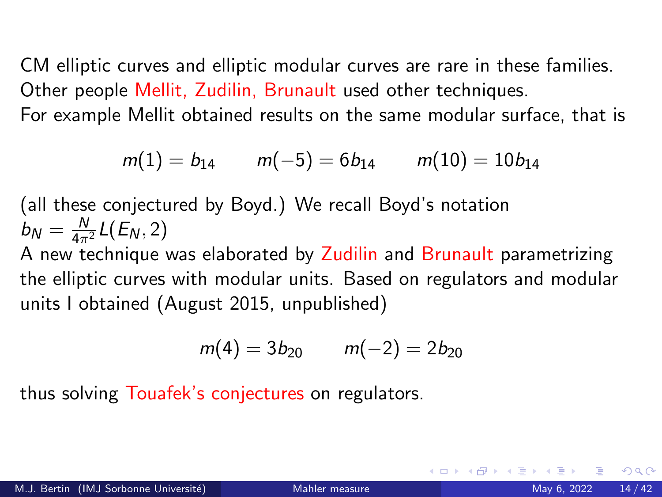CM elliptic curves and elliptic modular curves are rare in these families. Other people Mellit, Zudilin, Brunault used other techniques.

For example Mellit obtained results on the same modular surface, that is

$$
m(1) = b_{14} \qquad m(-5) = 6b_{14} \qquad m(10) = 10b_{14}
$$

(all these conjectured by Boyd.) We recall Boyd's notation  $b_N = \frac{N}{4\pi^2} L(E_N, 2)$ A new technique was elaborated by Zudilin and Brunault parametrizing the elliptic curves with modular units. Based on regulators and modular units I obtained (August 2015, unpublished)

$$
m(4) = 3b_{20} \qquad m(-2) = 2b_{20}
$$

thus solving Touafek's conjectures on regulators.

つへへ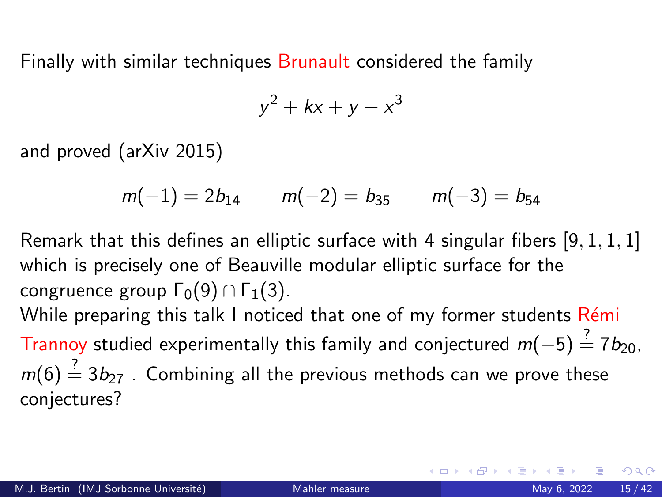Finally with similar techniques Brunault considered the family

$$
y^2 + kx + y - x^3
$$

and proved (arXiv 2015)

$$
m(-1) = 2b_{14}
$$
  $m(-2) = b_{35}$   $m(-3) = b_{54}$ 

Remark that this defines an elliptic surface with 4 singular fibers [9, 1, 1, 1] which is precisely one of Beauville modular elliptic surface for the congruence group  $\Gamma_0(9) \cap \Gamma_1(3)$ .

While preparing this talk I noticed that one of my former students Rémi Trannoy studied experimentally this family and conjectured  $m(-5) \stackrel{?}{=} 7b_{20}$ ,  $m(6) \stackrel{?}{=} 3b_{27}$ . Combining all the previous methods can we prove these conjectures?

- വൈറ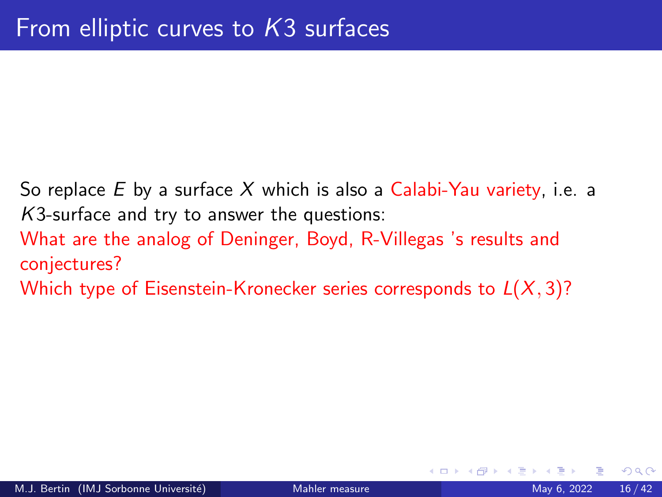So replace  $E$  by a surface  $X$  which is also a Calabi-Yau variety, i.e. a K3-surface and try to answer the questions: What are the analog of Deninger, Boyd, R-Villegas 's results and conjectures? Which type of Eisenstein-Kronecker series corresponds to  $L(X, 3)$ ?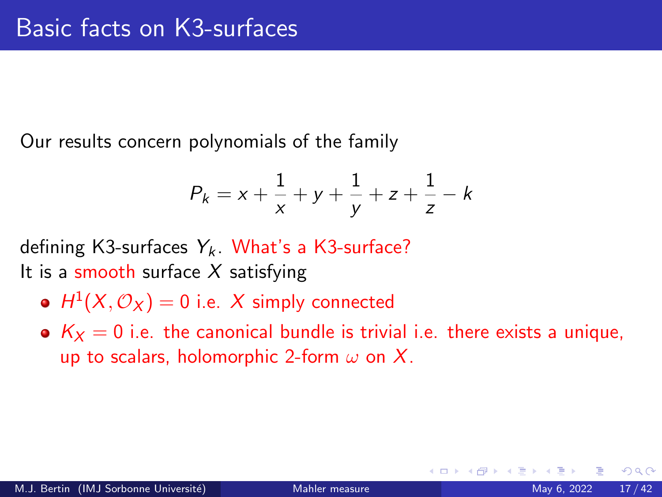Our results concern polynomials of the family

$$
P_k = x + \frac{1}{x} + y + \frac{1}{y} + z + \frac{1}{z} - k
$$

defining K3-surfaces  $Y_k$ . What's a K3-surface? It is a smooth surface  $X$  satisfying

- $H^1(X, \mathcal{O}_X) = 0$  i.e.  $X$  simply connected
- $K_X = 0$  i.e. the canonical bundle is trivial i.e. there exists a unique, up to scalars, holomorphic 2-form  $\omega$  on X.

つへへ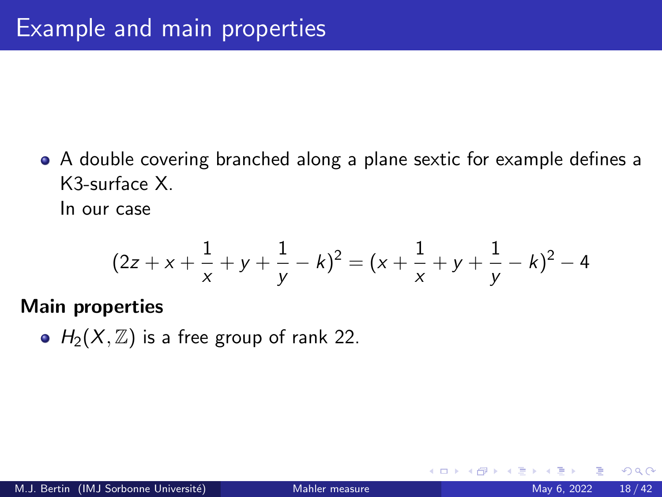A double covering branched along a plane sextic for example defines a K3-surface X.

In our case

$$
(2z + x + \frac{1}{x} + y + \frac{1}{y} - k)^2 = (x + \frac{1}{x} + y + \frac{1}{y} - k)^2 - 4
$$

### Main properties

•  $H_2(X, \mathbb{Z})$  is a free group of rank 22.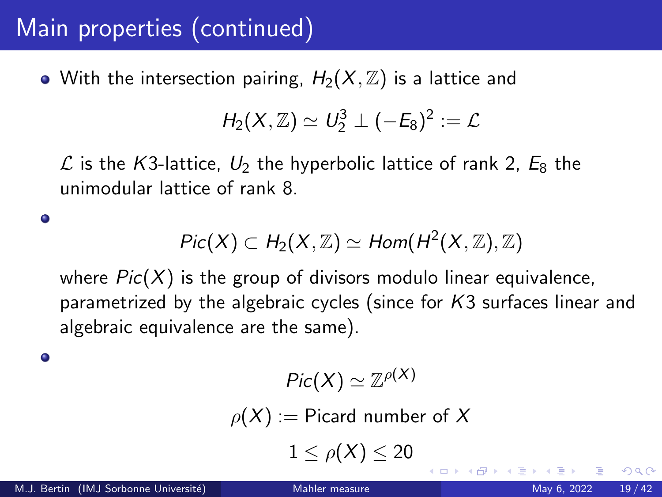# Main properties (continued)

• With the intersection pairing,  $H_2(X, \mathbb{Z})$  is a lattice and

$$
H_2(X,\mathbb{Z})\simeq U_2^3\perp (-E_8)^2:=\mathcal{L}
$$

 $\mathcal L$  is the K3-lattice,  $U_2$  the hyperbolic lattice of rank 2,  $E_8$  the unimodular lattice of rank 8.

$$
Pic(X) \subset H_2(X,\mathbb{Z}) \simeq Hom(H^2(X,\mathbb{Z}),\mathbb{Z})
$$

where  $Pic(X)$  is the group of divisors modulo linear equivalence, parametrized by the algebraic cycles (since for K3 surfaces linear and algebraic equivalence are the same).

$$
Pic(X)\simeq \mathbb{Z}^{\rho(X)}
$$

 $\rho(X) :=$  Picard number of X

 $1 \leq \rho(X) \leq 20$ 

 $\bullet$ 

 $\bullet$ 

つへへ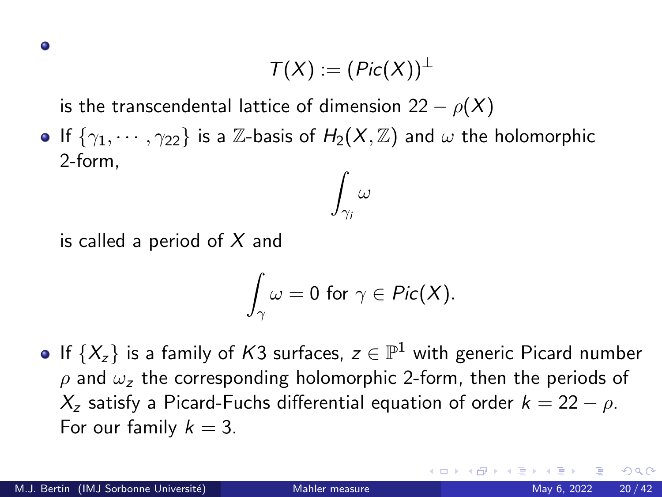$$
\mathcal{T}(X):=(\mathit{Pic}(X))^{\perp}
$$

is the transcendental lattice of dimension 22 –  $\rho(X)$ 

**If**  $\{\gamma_1, \cdots, \gamma_{22}\}$  is a Z-basis of  $H_2(X, \mathbb{Z})$  and  $\omega$  the holomorphic 2-form,

$$
\int_{\gamma_i}\omega
$$

is called a period of  $X$  and

$$
\int_{\gamma}\omega=0\,\,\text{for}\,\,\gamma\in\mathit{Pic}(X).
$$

If  $\{X_z\}$  is a family of  $K3$  surfaces,  $z\in\mathbb{P}^1$  with generic Picard number  $\rho$  and  $\omega_z$  the corresponding holomorphic 2-form, then the periods of  $X_z$  satisfy a Picard-Fuchs differential equation of order  $k = 22 - \rho$ . For our family  $k = 3$ .

つへへ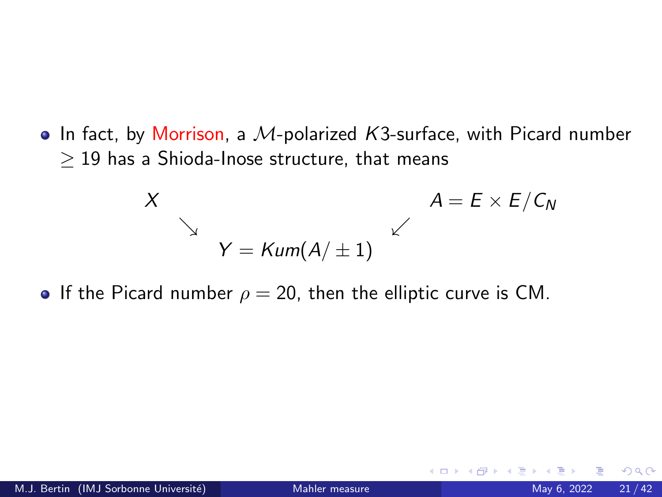<span id="page-20-0"></span> $\bullet$  In fact, by Morrison, a M-polarized K3-surface, with Picard number  $\geq$  19 has a Shioda-Inose structure, that means

$$
X
$$
\n
$$
A = E \times E / C_N
$$
\n
$$
Y = \text{Kum}(A / \pm 1)
$$
\n
$$
A = E \times E / C_N
$$

If the Picard number  $\rho = 20$ , then the elliptic curve is CM.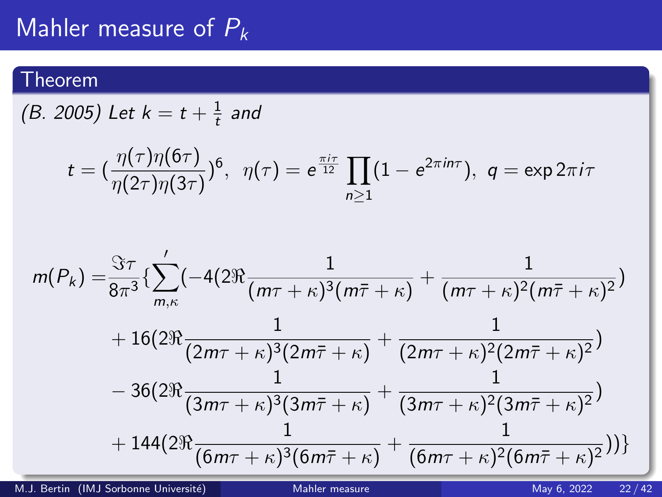# <span id="page-21-0"></span>Mahler measure of  $P_k$

## Theorem

(B. 2005) Let  $k = t + \frac{1}{t}$  $\frac{1}{t}$  and

$$
t = (\frac{\eta(\tau)\eta(6\tau)}{\eta(2\tau)\eta(3\tau)})^6, \ \ \eta(\tau) = e^{\frac{\pi i \tau}{12}} \prod_{n \geq 1} (1 - e^{2\pi i n \tau}), \ \ q = \exp 2\pi i \tau
$$

$$
m(P_k) = \frac{\Im \tau}{8\pi^3} \left\{ \sum_{m,\kappa}^{\prime} \left( -4(2\Re \frac{1}{(m\tau + \kappa)^3 (m\bar{\tau} + \kappa)} + \frac{1}{(m\tau + \kappa)^2 (m\bar{\tau} + \kappa)^2} \right) \right. \\ \left. + 16(2\Re \frac{1}{(2m\tau + \kappa)^3 (2m\bar{\tau} + \kappa)} + \frac{1}{(2m\tau + \kappa)^2 (2m\bar{\tau} + \kappa)^2} \right) \\ \left. - 36(2\Re \frac{1}{(3m\tau + \kappa)^3 (3m\bar{\tau} + \kappa)} + \frac{1}{(3m\tau + \kappa)^2 (3m\bar{\tau} + \kappa)^2} \right) \\ \left. + 144(2\Re \frac{1}{(6m\tau + \kappa)^3 (6m\bar{\tau} + \kappa)} + \frac{1}{(6m\tau + \kappa)^2 (6m\bar{\tau} + \kappa)^2} \right) \right\}
$$

M.J. Bertin (IMJ Sorbonne Université) [Mahler measure](#page-0-0) May 6, 2022 22/42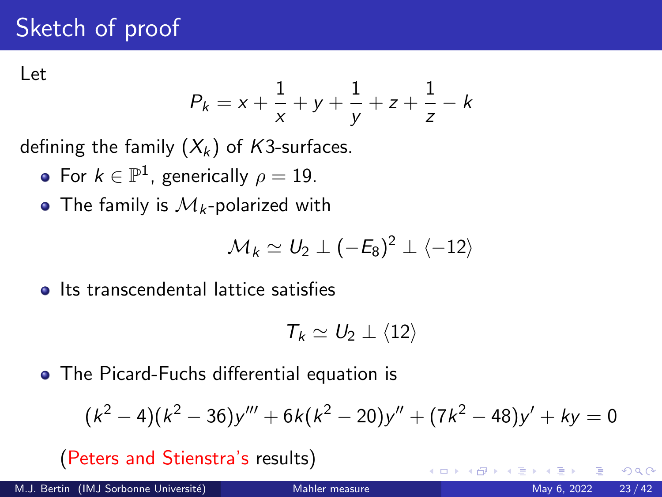# <span id="page-22-0"></span>Sketch of proof

Let

$$
P_k = x + \frac{1}{x} + y + \frac{1}{y} + z + \frac{1}{z} - k
$$

defining the family  $(X_k)$  of K3-surfaces.

- For  $k \in \mathbb{P}^1$ , generically  $\rho = 19$ .
- The family is  $M_k$ -polarized with

$$
\mathcal{M}_k \simeq U_2 \perp (-E_8)^2 \perp \langle -12 \rangle
$$

• Its transcendental lattice satisfies

$$
\mathcal{T}_k \simeq U_2 \perp \langle 12 \rangle
$$

The Picard-Fuchs differential equation is

$$
(k2 - 4)(k2 - 36)y''' + 6k(k2 - 20)y'' + (7k2 - 48)y' + ky = 0
$$

(Peters and Stienstra's results)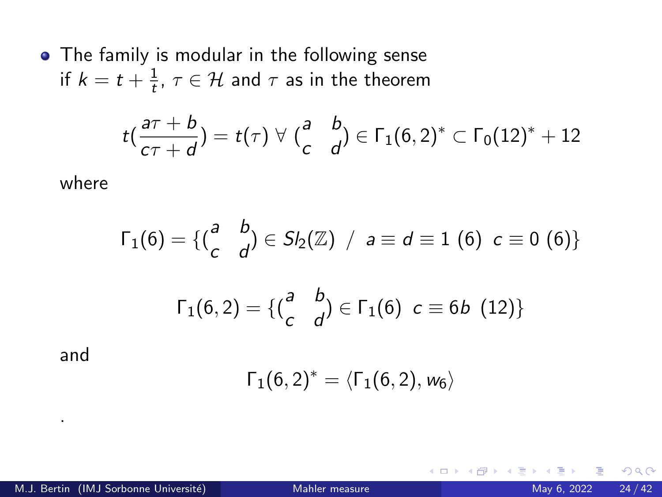• The family is modular in the following sense if  $k=t+\frac{1}{t}$  $\frac{1}{t}$ ,  $\tau \in \mathcal{H}$  and  $\tau$  as in the theorem

$$
t\left(\frac{a\tau+b}{c\tau+d}\right)=t(\tau)\,\,\forall\,\,\left(\frac{a}{c}\quad\frac{b}{d}\right)\in\Gamma_1(6,2)^*\subset\Gamma_0(12)^*+12
$$

where

$$
\Gamma_1(6) = \{ {a \atop c} b \atop 1(6,2) = \{ {a \atop c} b \atop 0 \end{bmatrix} \in S_2(\mathbb{Z}) \ / \ a \equiv d \equiv 1 \ (6) \ c \equiv 0 \ (6) \}
$$

$$
\Gamma_1(6,2) = \{ {a \atop c} b \atop 0 \end{bmatrix} \in \Gamma_1(6) \ c \equiv 6b \ (12) \}
$$

and

.

$$
\Gamma_1(6,2)^*=\langle \Gamma_1(6,2),w_6\rangle
$$

**∢ □ ▶ ⊣ 倒 ▶**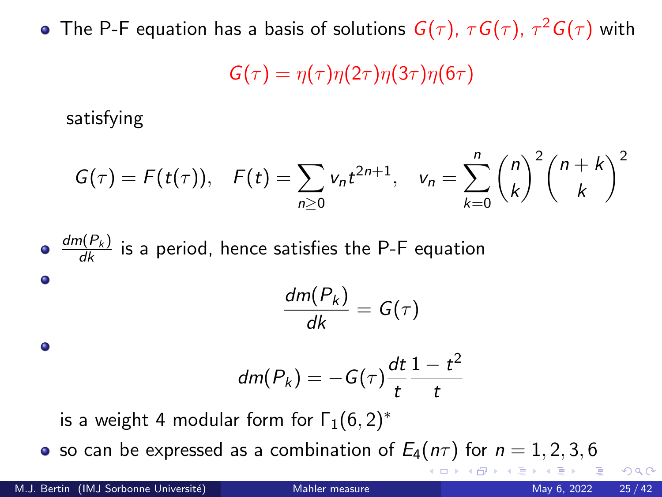The P-F equation has a basis of solutions  $\bm{G}(\tau)$ ,  $\tau\bm{G}(\tau)$ ,  $\tau^2\bm{G}(\tau)$  with  $G(\tau) = \eta(\tau) \eta(2\tau) \eta(3\tau) \eta(6\tau)$ 

satisfying

$$
G(\tau) = F(t(\tau)), \quad F(t) = \sum_{n \geq 0} v_n t^{2n+1}, \quad v_n = \sum_{k=0}^n {n \choose k}^2 {n+k \choose k}^2
$$

\n- \n
$$
\frac{dm(P_k)}{dk}
$$
 is a period, hence satisfies the P-F equation\n
\n- \n $\frac{dm(P_k)}{dk} = G(\tau)$ \n
\n- \n $dm(P_k) = -G(\tau)\frac{dt}{t}\frac{1-t^2}{t}$ \n
\n- \n is a weight 4 modular form for  $\Gamma_1(6, 2)^*$ \n
\n

• so can be expressed as a combination of  $E_4(n\tau)$  for  $n = 1, 2, 3, 6$ 

∢ □ ▶ ⊣ *←* □

 $QQQ$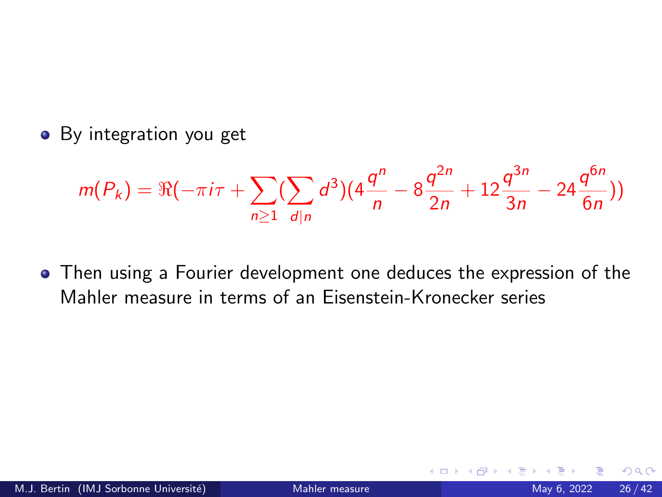• By integration you get

$$
m(P_k) = \Re(-\pi i \tau + \sum_{n\geq 1} (\sum_{d|n} d^3)(4\frac{q^n}{n} - 8\frac{q^{2n}}{2n} + 12\frac{q^{3n}}{3n} - 24\frac{q^{6n}}{6n}))
$$

Then using a Fourier development one deduces the expression of the Mahler measure in terms of an Eisenstein-Kronecker series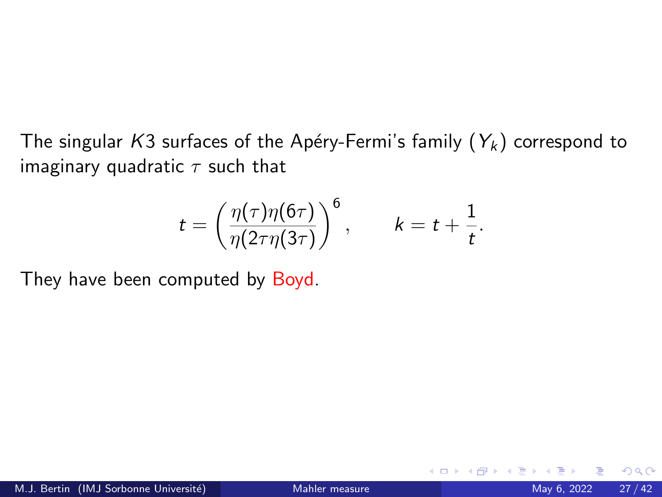The singular K3 surfaces of the Apéry-Fermi's family  $(Y_k)$  correspond to imaginary quadratic  $\tau$  such that

$$
t = \left(\frac{\eta(\tau)\eta(6\tau)}{\eta(2\tau\eta(3\tau)}\right)^6, \qquad k = t + \frac{1}{t}.
$$

They have been computed by Boyd.

4 **D F**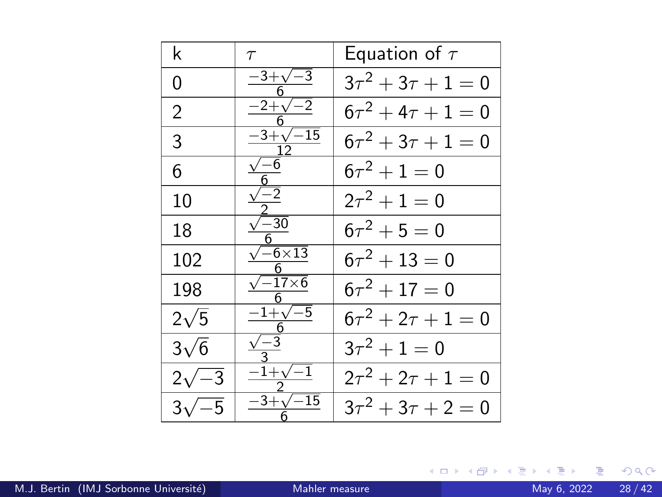| k            | $\tau$                 | Equation of $\tau$        |
|--------------|------------------------|---------------------------|
| 0            | $-3+\sqrt{-3}$         | $3\tau^2 + 3\tau + 1 = 0$ |
| 2            | $-2+\sqrt{-2}$         | $6\tau^2 + 4\tau + 1 = 0$ |
| 3            | $-3+\sqrt{-15}$        | $6\tau^2 + 3\tau + 1 = 0$ |
| 6            | $\sqrt{-6}$            | $6\tau^2 + 1 = 0$         |
| 10           | $\sqrt{-2}$            | $2\tau^2 + 1 = 0$         |
| 18           | $\sqrt{-30}$           | $6\tau^2 + 5 = 0$         |
| 102          | $\sqrt{-6} \times 13$  | $6\tau^2 + 13 = 0$        |
| 198          | $\sqrt{-17\times 6}$   | $6\tau^2 + 17 = 0$        |
| $2\sqrt{5}$  | $-1+\sqrt{-5}$         | $6\tau^2 + 2\tau + 1 = 0$ |
| $3\sqrt{6}$  | $\frac{\sqrt{-3}}{2}$  | $3\tau^2 + 1 = 0$         |
| $2\sqrt{-3}$ | $-1+\sqrt{-1}$         | $2\tau^2 + 2\tau + 1 = 0$ |
| $3\sqrt{-5}$ | $-15$<br>$-3+\sqrt{ }$ | $3\tau^2 + 3\tau + 2 = 0$ |

K ロ ▶ K 御 ▶ K 重 ▶ K 重 ▶ 「重 」 の Q Q 、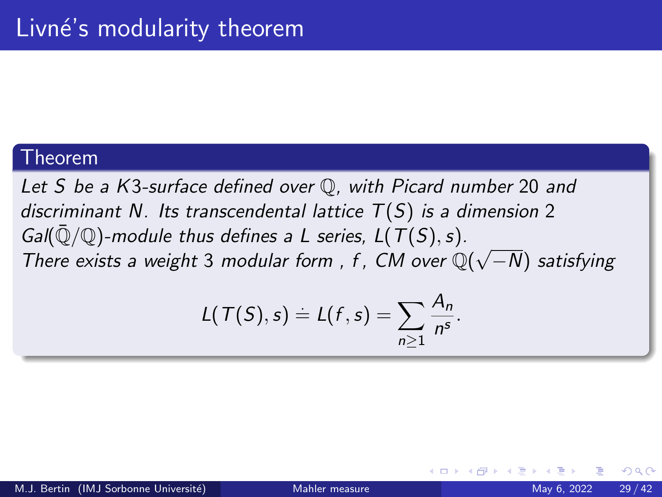#### <span id="page-28-0"></span>Theorem

Let S be a K3-surface defined over Q, with Picard number 20 and discriminant N. Its transcendental lattice  $T(S)$  is a dimension 2 Gal( $\overline{Q}/\mathbb{Q}$ )-module thus defines a L series,  $L(T(S), s)$ . Gan( $\psi/\psi$ )-module thus defines a L series, L(1(3), s).<br>There exists a weight 3 modular form, f, CM over  $\mathbb{Q}(\sqrt{2})$ −N) satisfying

$$
L(\mathcal{T}(S),s)=L(f,s)=\sum_{n\geq 1}\frac{A_n}{n^s}.
$$

つへへ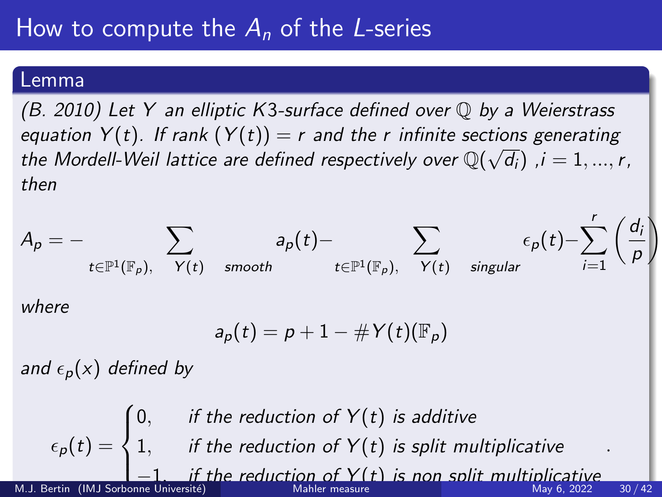## <span id="page-29-0"></span>Lemma

 $(B. 2010)$  Let Y an elliptic K3-surface defined over  $\mathbb O$  by a Weierstrass equation  $Y(t)$ . If rank  $(Y(t)) = r$  and the r infinite sections generating the Mordell-Weil lattice are defined respectively over  $\mathbb{Q}(\sqrt{d_i})$  ,i  $= 1,...,r,$ then



$$
a_p(t)=p+1-\#Y(t)(\mathbb{F}_p)
$$

and  $\epsilon_p(x)$  defined by

 $\epsilon_{\bm{\rho}}(t) =$  $\sqrt{ }$  $\int$  $\frac{1}{\sqrt{2}}$  $0,$  if the reduction of  $Y(t)$  is additive 1, if the reduction of  $Y(t)$  is split multiplicative if the reducti[on](#page-28-0) of  $Y(t)$  is non [sp](#page-30-0)[li](#page-28-0)[t](#page-29-0) [m](#page-30-0)[ul](#page-0-0)[tip](#page-41-0)[lic](#page-0-0)[ati](#page-41-0)[ve](#page-0-0) . M.J. Bertin (IMJ Sorbonne Université) [Mahler measure](#page-0-0) Mahler measure May 6, 2022 30 / 42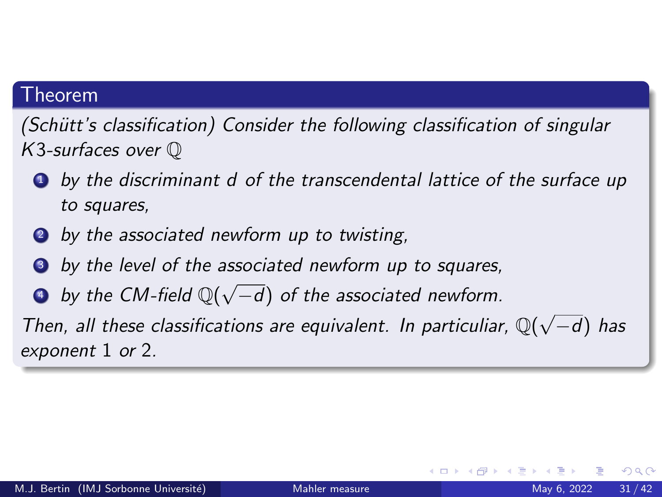## <span id="page-30-0"></span>**Theorem**

(Schütt's classification) Consider the following classification of singular K3-surfaces over Q

- **1** by the discriminant d of the transcendental lattice of the surface up to squares,
- **2** by the associated newform up to twisting,
- **3** by the level of the associated newform up to squares,
- **a** by the CM-field  $\mathbb{Q}(\sqrt{2})$ −d) of the associated newform.

Then, all these classifications are equivalent. In particuliar,  $\mathbb{Q}(\sqrt{n})$ −d) has exponent 1 or 2.

つへへ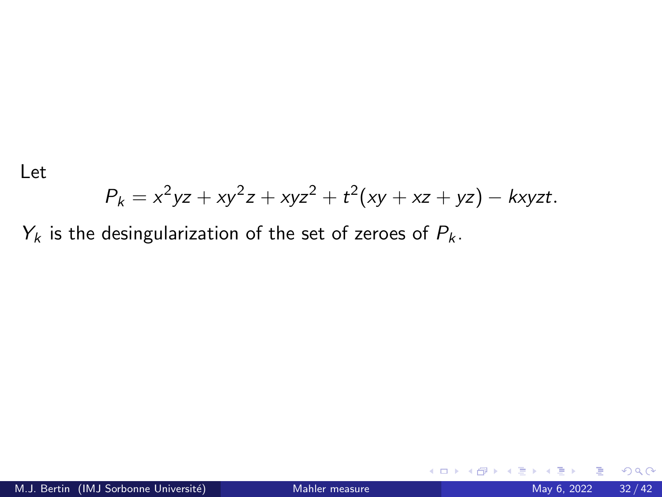Let

$$
P_k = x^2yz + xy^2z + xyz^2 + t^2(xy + xz + yz) - kxyzt.
$$

 $Y_k$  is the desingularization of the set of zeroes of  $P_k$ .

**K ロ ▶ K 何**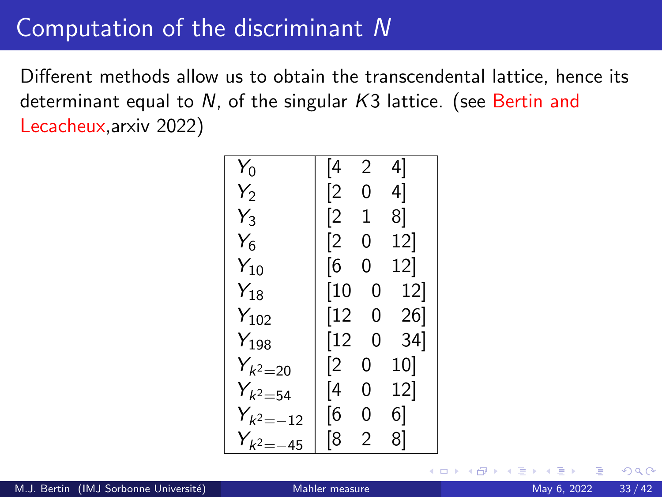## Computation of the discriminant N

Different methods allow us to obtain the transcendental lattice, hence its determinant equal to N, of the singular K3 lattice. (see Bertin and Lecacheux,arxiv 2022)

| $Y_0$         | [4          | 2              | 4]              |
|---------------|-------------|----------------|-----------------|
| $Y_2$         | [2          | 0              | 4]              |
| $Y_3$         | [2          | 1              | 8]              |
| $Y_6$         | [2          | 0              | 12              |
| $Y_{10}$      | [6          | 0              | 12              |
| $Y_{18}$      | [10         | 0              | <sup>12</sup>   |
| $Y_{102}$     | $\sqrt{12}$ | 0              | 26              |
| $Y_{198}$     | $\sqrt{12}$ | 0              | 34              |
| $Y_{k^2=20}$  | [2          | 0              | 10 <sup>1</sup> |
| $Y_{k^2=54}$  | [4          | 0              | 12]             |
| $Y_{k^2=-12}$ | [6          | 0              | 6]              |
| $Y_{k^2=-45}$ | [8          | $\mathfrak{p}$ | 8]              |

4 0 8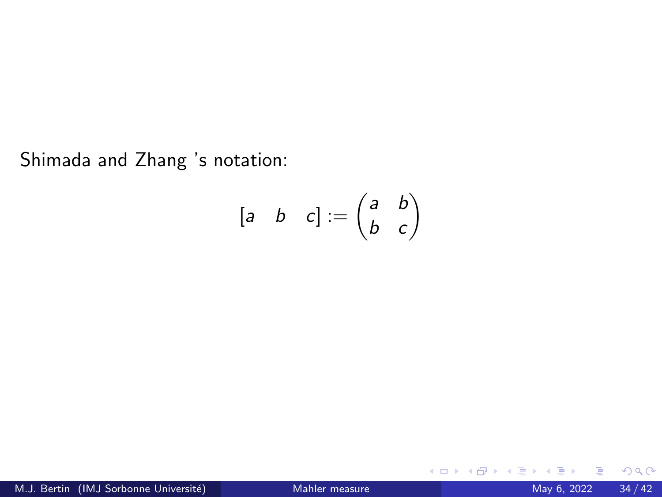Shimada and Zhang 's notation:

$$
\begin{bmatrix} a & b & c \end{bmatrix} := \begin{pmatrix} a & b \\ b & c \end{pmatrix}
$$

**K ロ ▶ K 伊 ▶ K** 

э D. ≃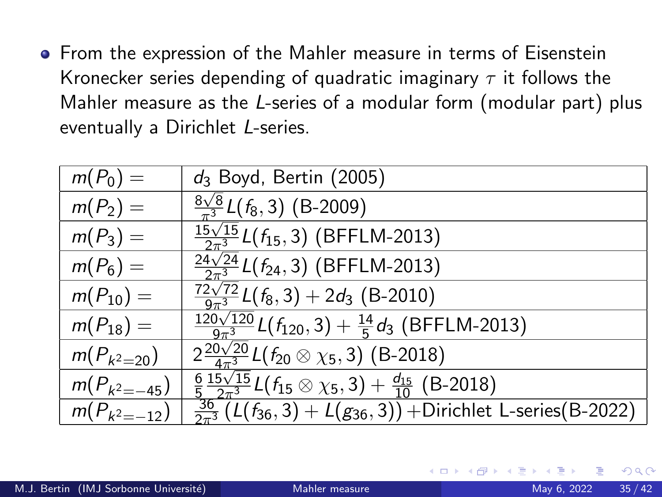**•** From the expression of the Mahler measure in terms of Eisenstein Kronecker series depending of quadratic imaginary  $\tau$  it follows the Mahler measure as the L-series of a modular form (modular part) plus eventually a Dirichlet L-series.

| $m(P_0) =$       | $d_3$ Boyd, Bertin (2005)                                                                        |
|------------------|--------------------------------------------------------------------------------------------------|
| $m(P_2) =$       | $\frac{8\sqrt{8}}{2}\mathcal{L}(f_8,3)$ (B-2009)                                                 |
| $m(P_3) =$       | $\frac{15\sqrt{15}}{2\pi^3}$ L( $\overline{f_{15}}$ , 3) (BFFLM-2013)                            |
| $m(P_6) =$       | $\frac{24\sqrt{24}}{2\pi^3}$ $L(f_{24}, 3)$ (BFFLM-2013)                                         |
| $m(P_{10}) =$    | $\frac{72\sqrt{72}}{9\pi^3}L(f_8,3)+2d_3$ (B-2010)                                               |
| $m(P_{18}) =$    | $\frac{120\sqrt{120}}{9\pi^3}L(f_{120},3)+\frac{14}{5}d_3$ (BFFLM-2013)                          |
| $m(P_{k^2=20})$  | $2\frac{20\sqrt{20}}{4\pi^3}L(f_{20}\otimes\chi_5,3)$ (B-2018)                                   |
| $m(P_{k^2=-45})$ | $\frac{6}{5} \frac{15\sqrt{15}}{2\pi^3} L(f_{15} \otimes \chi_5,3) + \frac{d_{15}}{10}$ (B-2018) |
| $m(P_{k^2=-12})$ | $\frac{36}{2\pi^3}$ (L( $f_{36}$ , 3) + L( $g_{36}$ , 3)) + Dirichlet L-series (B-2022)          |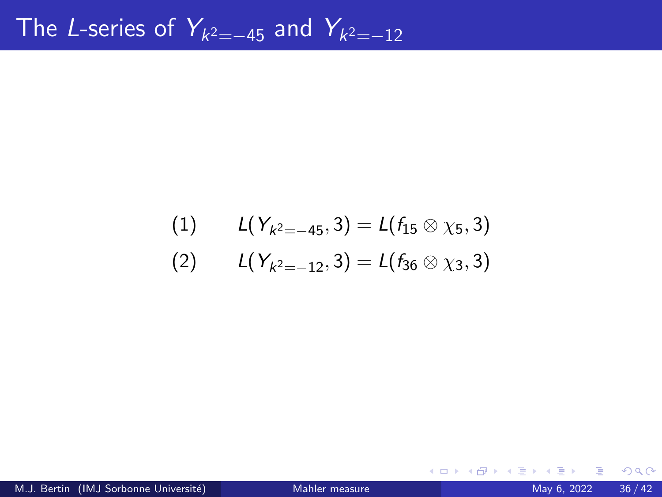(1) 
$$
L(Y_{k^2=-45}, 3) = L(f_{15} \otimes \chi_5, 3)
$$
  
\n(2)  $L(Y_{k^2=-12}, 3) = L(f_{36} \otimes \chi_3, 3)$ 

B

イロト イ部 トイヨトイ

 $OQ$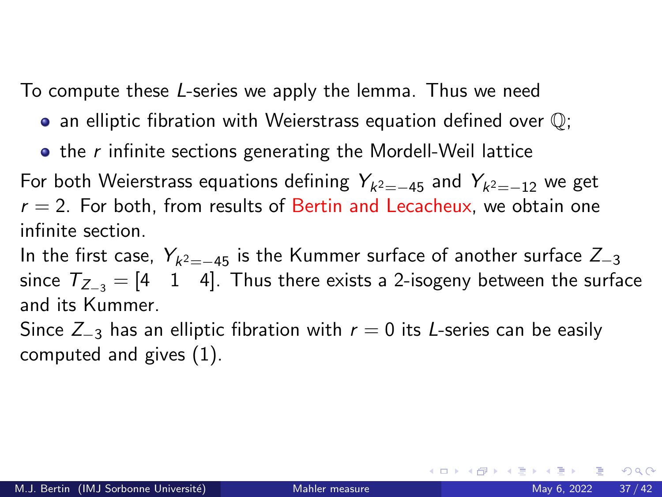To compute these L-series we apply the lemma. Thus we need

- $\bullet$  an elliptic fibration with Weierstrass equation defined over  $\mathbb{Q}$ ;
- $\bullet$  the r infinite sections generating the Mordell-Weil lattice

For both Weierstrass equations defining  $Y_{k^2=-45}$  and  $Y_{k^2=-12}$  we get  $r = 2$ . For both, from results of Bertin and Lecacheux, we obtain one infinite section.

In the first case,  $\textit{Y}_{\textit{k}^2=-45}$  is the Kummer surface of another surface  $Z_{-3}$ since  $T_{Z_{-3}} = \begin{bmatrix} 4 & 1 & 4 \end{bmatrix}$ . Thus there exists a 2-isogeny between the surface and its Kummer.

Since  $Z_{-3}$  has an elliptic fibration with  $r = 0$  its L-series can be easily computed and gives (1).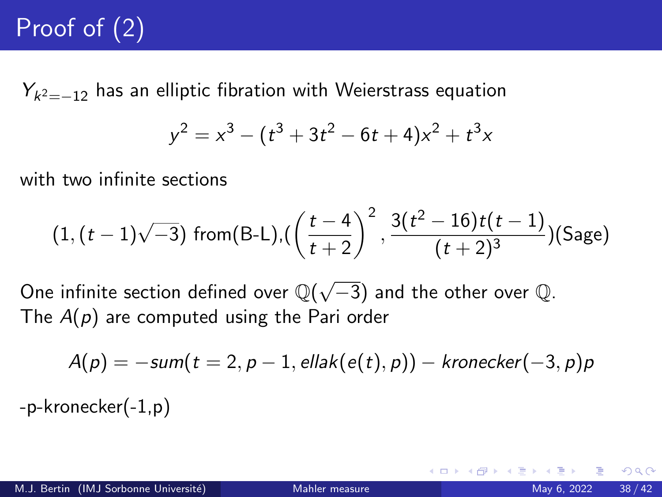# Proof of (2)

 $Y_{k^2=-12}$  has an elliptic fibration with Weierstrass equation

$$
y^2 = x^3 - (t^3 + 3t^2 - 6t + 4)x^2 + t^3x
$$

with two infinite sections

$$
(1, (t-1)\sqrt{-3})
$$
 from (B-L), $\left(\frac{t-4}{t+2}\right)^2$ ,  $\frac{3(t^2-16)t(t-1)}{(t+2)^3}$ )(Sage)

One infinite section defined over  $\mathbb{Q}(\sqrt{-3})$  and the other over  $\mathbb{Q}.$ The  $A(p)$  are computed using the Pari order

$$
A(p) = -sum(t = 2, p - 1, ellak(e(t), p)) - kronecker(-3, p)p
$$

-p-kronecker(-1,p)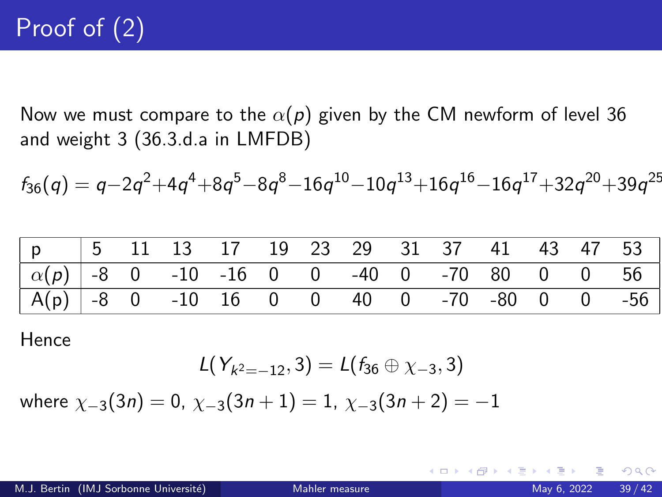Now we must compare to the  $\alpha(p)$  given by the CM newform of level 36 and weight 3 (36.3.d.a in LMFDB)

$$
f_{36}(q) = q - 2q^2 + 4q^4 + 8q^5 - 8q^8 - 16q^{10} - 10q^{13} + 16q^{16} - 16q^{17} + 32q^{20} + 39q^{25}
$$

| $ p $ $ 5$ $\overline{11}$ $\overline{13}$ $\overline{17}$ $\overline{19}$ $\overline{23}$ $\overline{29}$ $\overline{31}$ $\overline{37}$ $\overline{41}$ $\overline{43}$ $\overline{47}$ $\overline{53}$ |  |  |  |  |  |  |  |
|------------------------------------------------------------------------------------------------------------------------------------------------------------------------------------------------------------|--|--|--|--|--|--|--|
| $\boxed{\alpha(p) }$ -8 0 -10 -16 0 0 -40 0 -70 80 0 0 56                                                                                                                                                  |  |  |  |  |  |  |  |
| $A(p)$ -8 0 -10 16 0 0 40 0 -70 -80 0 0 -56                                                                                                                                                                |  |  |  |  |  |  |  |

Hence

$$
L(Y_{k^2=-12},3)=L(f_{36}\oplus\chi_{-3},3)
$$

where  $\chi_{-3}(3n) = 0$ ,  $\chi_{-3}(3n+1) = 1$ ,  $\chi_{-3}(3n+2) = -1$ 

イロト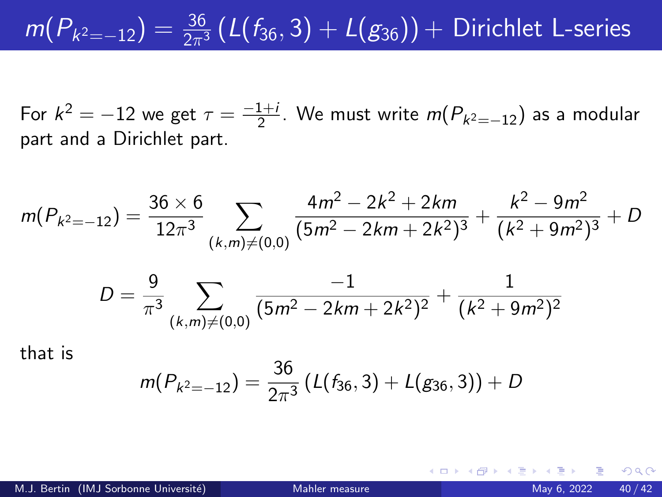# $m(P_{k^2=-12})=\frac{36}{2\pi^3}\left(L(f_{36},3)+L(g_{36})\right)+$  Dirichlet L-series

For  $k^2 = -12$  we get  $\tau = \frac{-1+i}{2}$  $\frac{1+i}{2}$ . We must write  $m(P_{k^2=-12})$  as a modular part and a Dirichlet part.

$$
m(P_{k^2=-12}) = \frac{36 \times 6}{12\pi^3} \sum_{(k,m)\neq(0,0)} \frac{4m^2 - 2k^2 + 2km}{(5m^2 - 2km + 2k^2)^3} + \frac{k^2 - 9m^2}{(k^2 + 9m^2)^3} + D
$$

$$
D = \frac{9}{\pi^3} \sum_{(k,m)\neq(0,0)} \frac{-1}{(5m^2 - 2km + 2k^2)^2} + \frac{1}{(k^2 + 9m^2)^2}
$$

that is

$$
m(P_{k^2=-12})=\frac{36}{2\pi^3}\left(L(f_{36},3)+L(g_{36},3)\right)+D
$$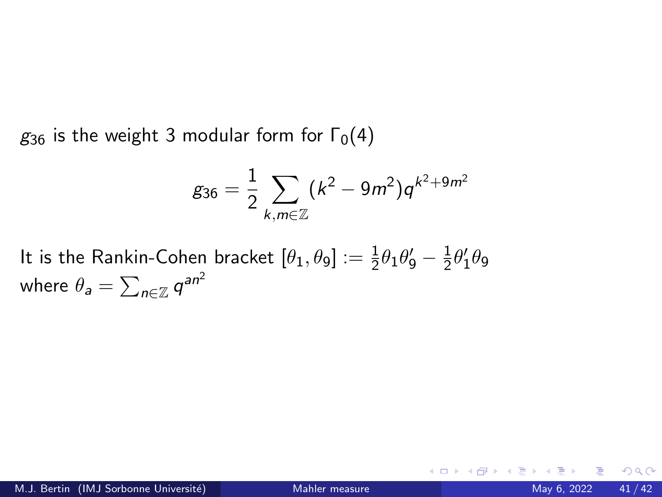$g_{36}$  is the weight 3 modular form for  $\Gamma_0(4)$ 

$$
g_{36}=\frac{1}{2}\sum_{k,m\in\mathbb{Z}}(k^2-9m^2)q^{k^2+9m^2}
$$

It is the Rankin-Cohen bracket  $[\theta_1,\theta_9]:=\frac{1}{2}\theta_1\theta_9'-\frac{1}{2}$  $\frac{1}{2}\theta_1'\theta_9$ where  $\theta_{\textit{\textbf{a}}}=\sum_{\textit{\textbf{n}}\in\mathbb{Z}}\textit{\textbf{q}}^{\textit{\textbf{a}}\textit{\textbf{n}}^2}$ 

4 **D F**